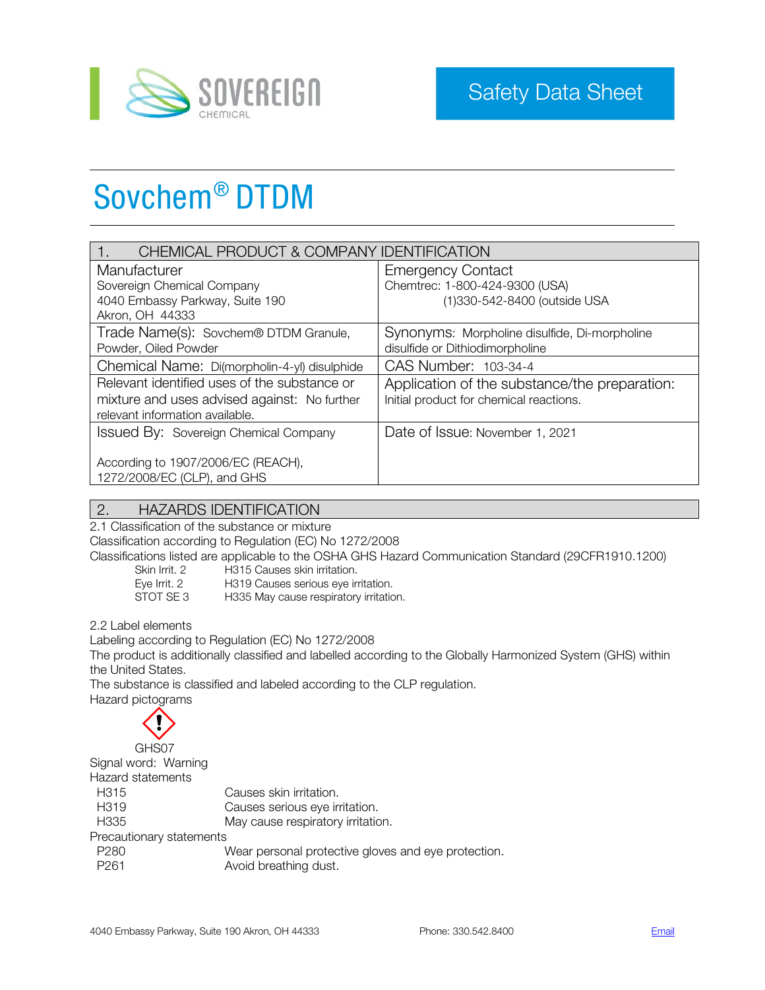

# Sovchem® DTDM

| CHEMICAL PRODUCT & COMPANY IDENTIFICATION    |                                               |  |
|----------------------------------------------|-----------------------------------------------|--|
| Manufacturer                                 | <b>Emergency Contact</b>                      |  |
| Sovereign Chemical Company                   | Chemtrec: 1-800-424-9300 (USA)                |  |
| 4040 Embassy Parkway, Suite 190              | (1)330-542-8400 (outside USA                  |  |
| Akron, OH 44333                              |                                               |  |
| Trade Name(s): Sovchem® DTDM Granule,        | Synonyms: Morpholine disulfide, Di-morpholine |  |
| Powder, Oiled Powder                         | disulfide or Dithiodimorpholine               |  |
| Chemical Name: Di(morpholin-4-yl) disulphide | CAS Number: 103-34-4                          |  |
| Relevant identified uses of the substance or | Application of the substance/the preparation: |  |
| mixture and uses advised against: No further | Initial product for chemical reactions.       |  |
| relevant information available.              |                                               |  |
| Issued By: Sovereign Chemical Company        | Date of Issue: November 1, 2021               |  |
|                                              |                                               |  |
| According to 1907/2006/EC (REACH),           |                                               |  |
| 1272/2008/EC (CLP), and GHS                  |                                               |  |

# 2. HAZARDS IDENTIFICATION

2.1 Classification of the substance or mixture

Classification according to Regulation (EC) No 1272/2008

Classifications listed are applicable to the OSHA GHS Hazard Communication Standard (29CFR1910.1200)

Skin Irrit. 2 H315 Causes skin irritation. Eye Irrit. 2 H319 Causes serious eye irritation. STOT SE 3 H335 May cause respiratory irritation.

2.2 Label elements

Labeling according to Regulation (EC) No 1272/2008 The product is additionally classified and labelled according to the Globally Harmonized System (GHS) within the United States.

The substance is classified and labeled according to the CLP regulation.

Hazard pictograms

| GHS07                    |                                                     |
|--------------------------|-----------------------------------------------------|
| Signal word: Warning     |                                                     |
| Hazard statements        |                                                     |
| H <sub>315</sub>         | Causes skin irritation.                             |
| H <sub>3</sub> 19        | Causes serious eye irritation.                      |
| H <sub>335</sub>         | May cause respiratory irritation.                   |
| Precautionary statements |                                                     |
| P <sub>280</sub>         | Wear personal protective gloves and eye protection. |
| P <sub>261</sub>         | Avoid breathing dust.                               |
|                          |                                                     |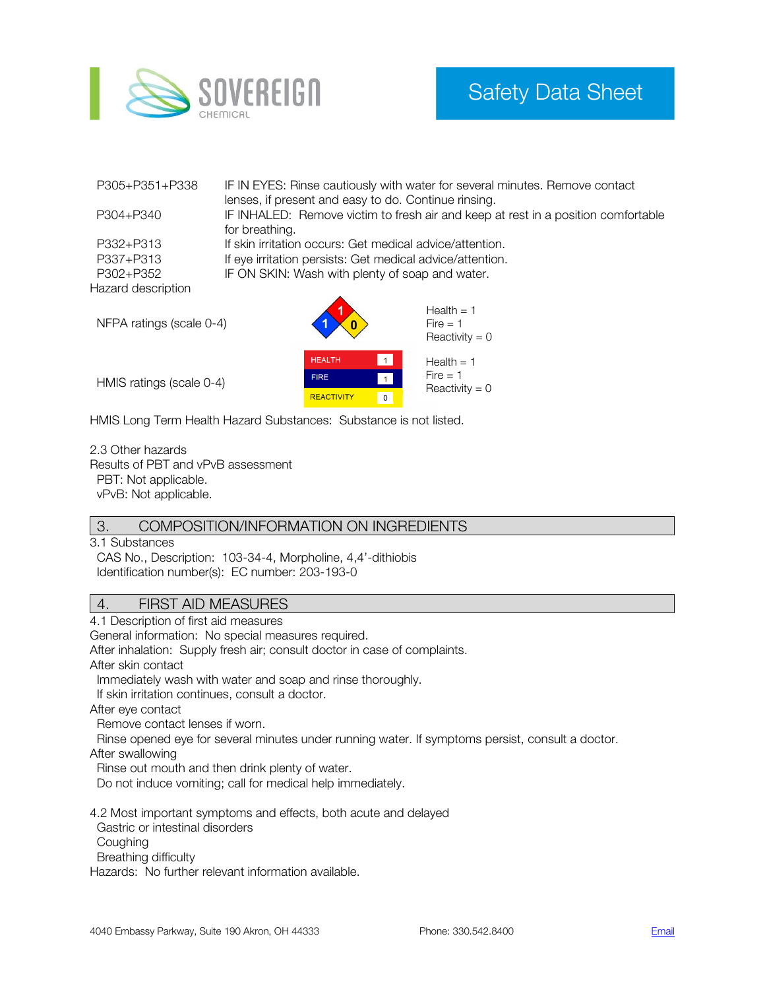

| P305+P351+P338           | IF IN EYES: Rinse cautiously with water for several minutes. Remove contact       |  |
|--------------------------|-----------------------------------------------------------------------------------|--|
|                          | lenses, if present and easy to do. Continue rinsing.                              |  |
| P304+P340                | IF INHALED: Remove victim to fresh air and keep at rest in a position comfortable |  |
|                          | for breathing.                                                                    |  |
| P332+P313                | If skin irritation occurs: Get medical advice/attention.                          |  |
| P337+P313                | If eye irritation persists: Get medical advice/attention.                         |  |
| P302+P352                | IF ON SKIN: Wash with plenty of soap and water.                                   |  |
| Hazard description       |                                                                                   |  |
|                          | Health $= 1$                                                                      |  |
|                          |                                                                                   |  |
| NFPA ratings (scale 0-4) | $Fire = 1$                                                                        |  |



HMIS ratings (scale 0-4)

HMIS Long Term Health Hazard Substances: Substance is not listed.

2.3 Other hazards Results of PBT and vPvB assessment PBT: Not applicable. vPvB: Not applicable.

#### 3. COMPOSITION/INFORMATION ON INGREDIENTS

3.1 Substances CAS No., Description: 103-34-4, Morpholine, 4,4'-dithiobis Identification number(s): EC number: 203-193-0

### 4. FIRST AID MEASURES

4.1 Description of first aid measures General information: No special measures required. After inhalation: Supply fresh air; consult doctor in case of complaints. After skin contact Immediately wash with water and soap and rinse thoroughly. If skin irritation continues, consult a doctor. After eye contact Remove contact lenses if worn. Rinse opened eye for several minutes under running water. If symptoms persist, consult a doctor. After swallowing Rinse out mouth and then drink plenty of water. Do not induce vomiting; call for medical help immediately. 4.2 Most important symptoms and effects, both acute and delayed Gastric or intestinal disorders **Coughing**  Breathing difficulty Hazards: No further relevant information available.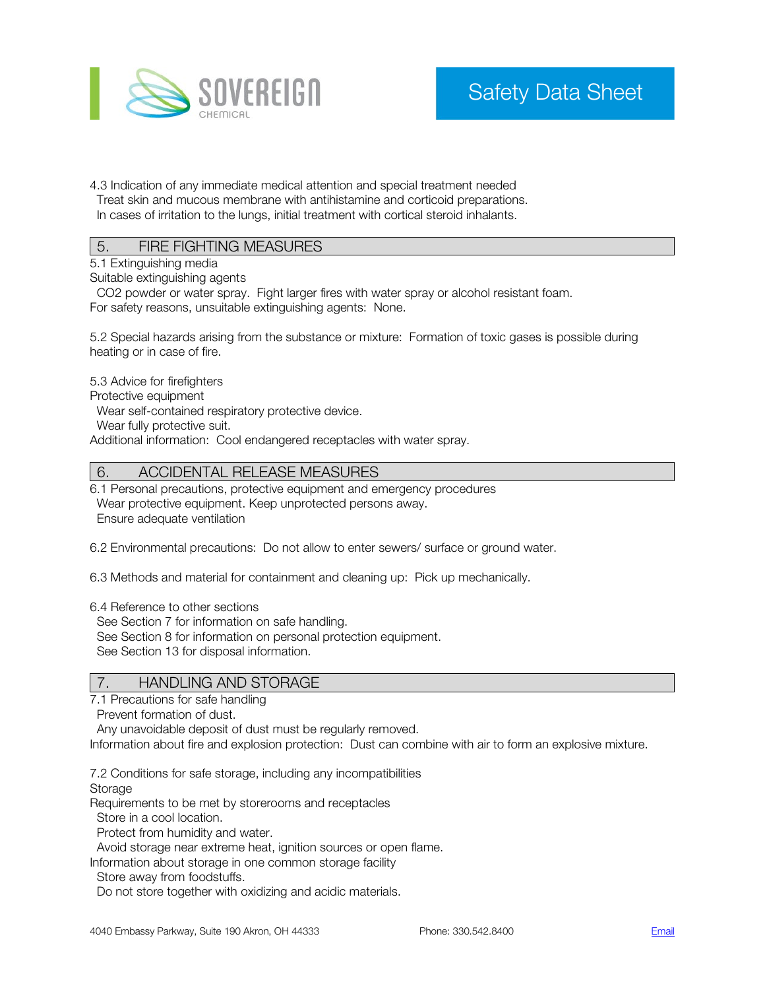

4.3 Indication of any immediate medical attention and special treatment needed Treat skin and mucous membrane with antihistamine and corticoid preparations. In cases of irritation to the lungs, initial treatment with cortical steroid inhalants.

# 5. FIRE FIGHTING MEASURES

5.1 Extinguishing media

Suitable extinguishing agents

 CO2 powder or water spray. Fight larger fires with water spray or alcohol resistant foam. For safety reasons, unsuitable extinguishing agents: None.

5.2 Special hazards arising from the substance or mixture: Formation of toxic gases is possible during heating or in case of fire.

5.3 Advice for firefighters

Protective equipment

Wear self-contained respiratory protective device.

Wear fully protective suit.

Additional information: Cool endangered receptacles with water spray.

### 6. ACCIDENTAL RELEASE MEASURES

6.1 Personal precautions, protective equipment and emergency procedures Wear protective equipment. Keep unprotected persons away. Ensure adequate ventilation

6.2 Environmental precautions: Do not allow to enter sewers/ surface or ground water.

6.3 Methods and material for containment and cleaning up: Pick up mechanically.

6.4 Reference to other sections

See Section 7 for information on safe handling.

See Section 8 for information on personal protection equipment.

See Section 13 for disposal information.

## 7. HANDLING AND STORAGE

7.1 Precautions for safe handling

Prevent formation of dust.

Any unavoidable deposit of dust must be regularly removed.

Information about fire and explosion protection: Dust can combine with air to form an explosive mixture.

7.2 Conditions for safe storage, including any incompatibilities

Storage

Requirements to be met by storerooms and receptacles

Store in a cool location.

Protect from humidity and water.

Avoid storage near extreme heat, ignition sources or open flame.

Information about storage in one common storage facility

Store away from foodstuffs.

Do not store together with oxidizing and acidic materials.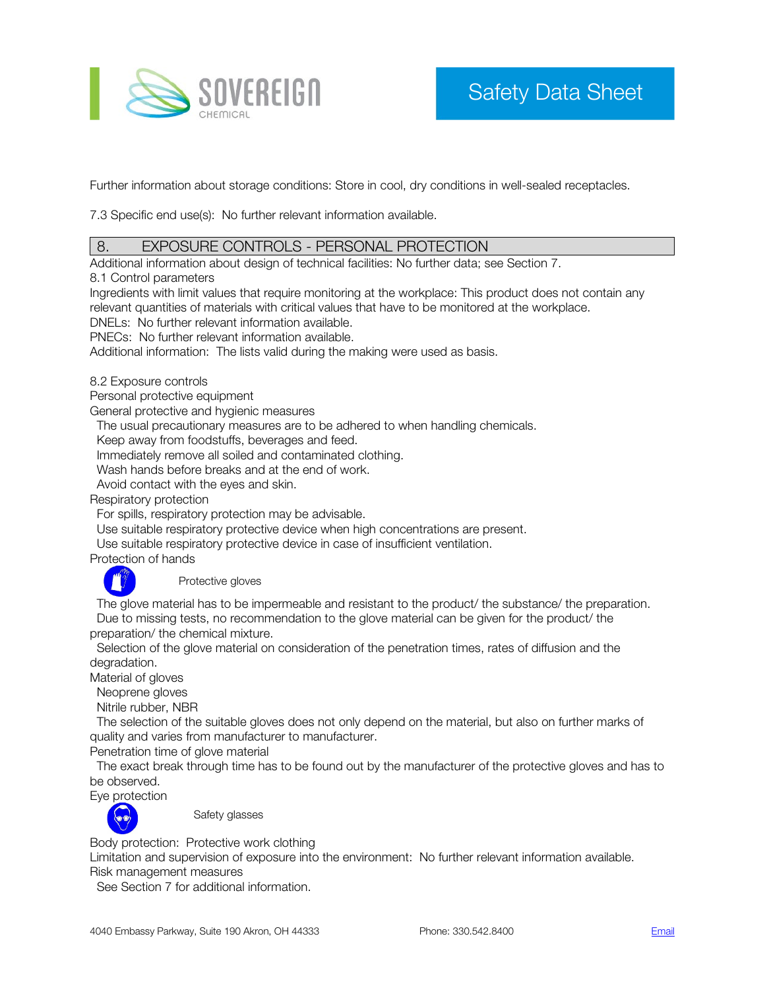

Further information about storage conditions: Store in cool, dry conditions in well-sealed receptacles.

7.3 Specific end use(s): No further relevant information available.

## 8. EXPOSURE CONTROLS - PERSONAL PROTECTION

Additional information about design of technical facilities: No further data; see Section 7.

8.1 Control parameters

Ingredients with limit values that require monitoring at the workplace: This product does not contain any relevant quantities of materials with critical values that have to be monitored at the workplace.

DNELs: No further relevant information available.

PNECs: No further relevant information available.

Additional information: The lists valid during the making were used as basis.

8.2 Exposure controls

Personal protective equipment

General protective and hygienic measures

The usual precautionary measures are to be adhered to when handling chemicals.

Keep away from foodstuffs, beverages and feed.

Immediately remove all soiled and contaminated clothing.

Wash hands before breaks and at the end of work.

Avoid contact with the eyes and skin.

Respiratory protection

For spills, respiratory protection may be advisable.

Use suitable respiratory protective device when high concentrations are present.

Use suitable respiratory protective device in case of insufficient ventilation.

Protection of hands



Protective gloves

 The glove material has to be impermeable and resistant to the product/ the substance/ the preparation. Due to missing tests, no recommendation to the glove material can be given for the product/ the preparation/ the chemical mixture.

 Selection of the glove material on consideration of the penetration times, rates of diffusion and the degradation.

Material of gloves

Neoprene gloves

Nitrile rubber, NBR

 The selection of the suitable gloves does not only depend on the material, but also on further marks of quality and varies from manufacturer to manufacturer.

Penetration time of glove material

 The exact break through time has to be found out by the manufacturer of the protective gloves and has to be observed.

Eye protection



Safety glasses

Body protection: Protective work clothing

Limitation and supervision of exposure into the environment: No further relevant information available.

Risk management measures

See Section 7 for additional information.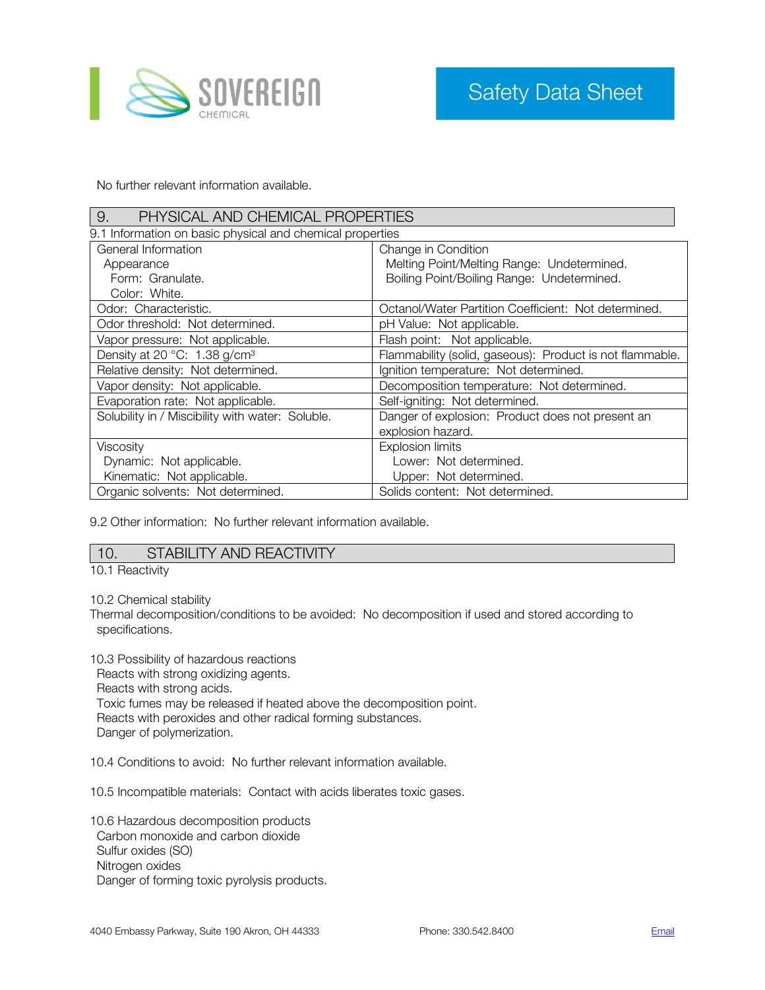

No further relevant information available.

| PHYSICAL AND CHEMICAL PROPERTIES<br>9.                    |                                                          |  |  |
|-----------------------------------------------------------|----------------------------------------------------------|--|--|
| 9.1 Information on basic physical and chemical properties |                                                          |  |  |
| General Information                                       | Change in Condition                                      |  |  |
| Melting Point/Melting Range: Undetermined.<br>Appearance  |                                                          |  |  |
| Form: Granulate.                                          | Boiling Point/Boiling Range: Undetermined.               |  |  |
| Color: White.                                             |                                                          |  |  |
| Odor: Characteristic.                                     | Octanol/Water Partition Coefficient: Not determined.     |  |  |
| Odor threshold: Not determined.                           | pH Value: Not applicable.                                |  |  |
| Vapor pressure: Not applicable.                           | Flash point: Not applicable.                             |  |  |
| Density at 20 °C: 1.38 g/cm <sup>3</sup>                  | Flammability (solid, gaseous): Product is not flammable. |  |  |
| Relative density: Not determined.                         | Ignition temperature: Not determined.                    |  |  |
| Vapor density: Not applicable.                            | Decomposition temperature: Not determined.               |  |  |
| Evaporation rate: Not applicable.                         | Self-igniting: Not determined.                           |  |  |
| Solubility in / Miscibility with water: Soluble.          | Danger of explosion: Product does not present an         |  |  |
|                                                           | explosion hazard.                                        |  |  |
| Viscosity                                                 | <b>Explosion limits</b>                                  |  |  |
| Dynamic: Not applicable.                                  | Lower: Not determined.                                   |  |  |
| Kinematic: Not applicable.                                | Upper: Not determined.                                   |  |  |
| Organic solvents: Not determined.                         | Solids content: Not determined.                          |  |  |

9.2 Other information: No further relevant information available.

## 10. STABILITY AND REACTIVITY

10.1 Reactivity

10.2 Chemical stability

Thermal decomposition/conditions to be avoided: No decomposition if used and stored according to specifications.

10.3 Possibility of hazardous reactions

 Reacts with strong oxidizing agents. Reacts with strong acids. Toxic fumes may be released if heated above the decomposition point. Reacts with peroxides and other radical forming substances. Danger of polymerization.

10.4 Conditions to avoid: No further relevant information available.

10.5 Incompatible materials: Contact with acids liberates toxic gases.

10.6 Hazardous decomposition products Carbon monoxide and carbon dioxide Sulfur oxides (SO) Nitrogen oxides Danger of forming toxic pyrolysis products.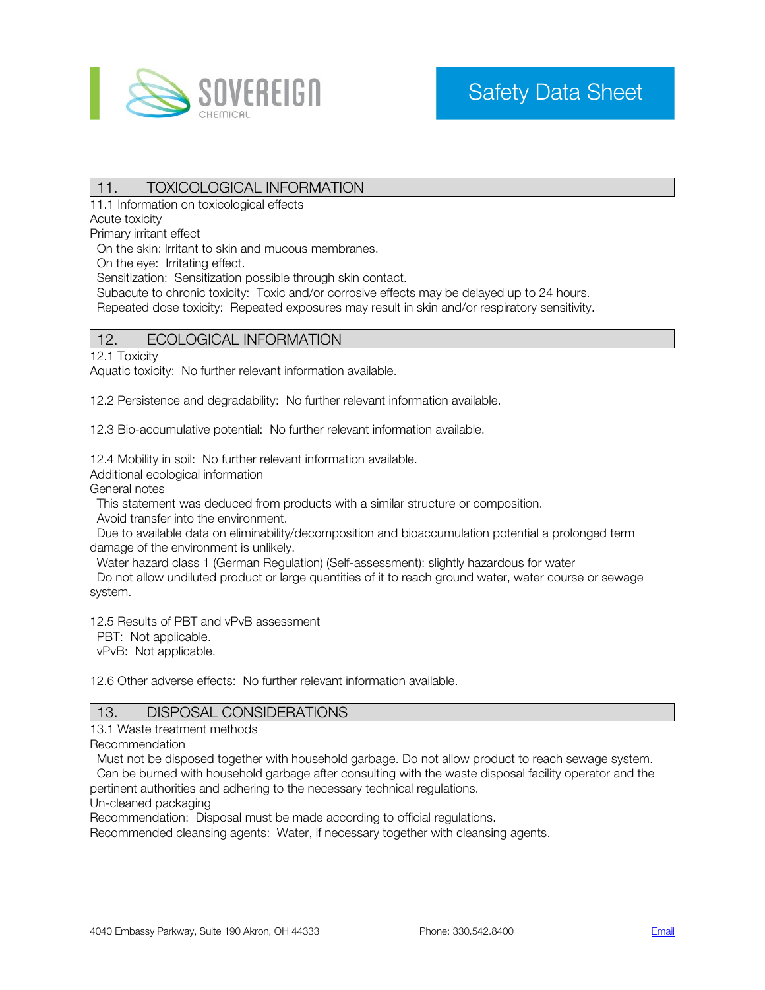

# 11. TOXICOLOGICAL INFORMATION

11.1 Information on toxicological effects

Acute toxicity

Primary irritant effect

On the skin: Irritant to skin and mucous membranes.

On the eye: Irritating effect.

Sensitization: Sensitization possible through skin contact.

Subacute to chronic toxicity: Toxic and/or corrosive effects may be delayed up to 24 hours.

Repeated dose toxicity: Repeated exposures may result in skin and/or respiratory sensitivity.

### 12. ECOLOGICAL INFORMATION

12.1 Toxicity

Aquatic toxicity: No further relevant information available.

12.2 Persistence and degradability: No further relevant information available.

12.3 Bio-accumulative potential: No further relevant information available.

12.4 Mobility in soil: No further relevant information available.

Additional ecological information

General notes

This statement was deduced from products with a similar structure or composition.

Avoid transfer into the environment.

 Due to available data on eliminability/decomposition and bioaccumulation potential a prolonged term damage of the environment is unlikely.

Water hazard class 1 (German Regulation) (Self-assessment): slightly hazardous for water

 Do not allow undiluted product or large quantities of it to reach ground water, water course or sewage system.

12.5 Results of PBT and vPvB assessment

PBT: Not applicable.

vPvB: Not applicable.

12.6 Other adverse effects: No further relevant information available.

#### 13. DISPOSAL CONSIDERATIONS

13.1 Waste treatment methods

Recommendation

 Must not be disposed together with household garbage. Do not allow product to reach sewage system. Can be burned with household garbage after consulting with the waste disposal facility operator and the

pertinent authorities and adhering to the necessary technical regulations.

Un-cleaned packaging

Recommendation: Disposal must be made according to official regulations.

Recommended cleansing agents: Water, if necessary together with cleansing agents.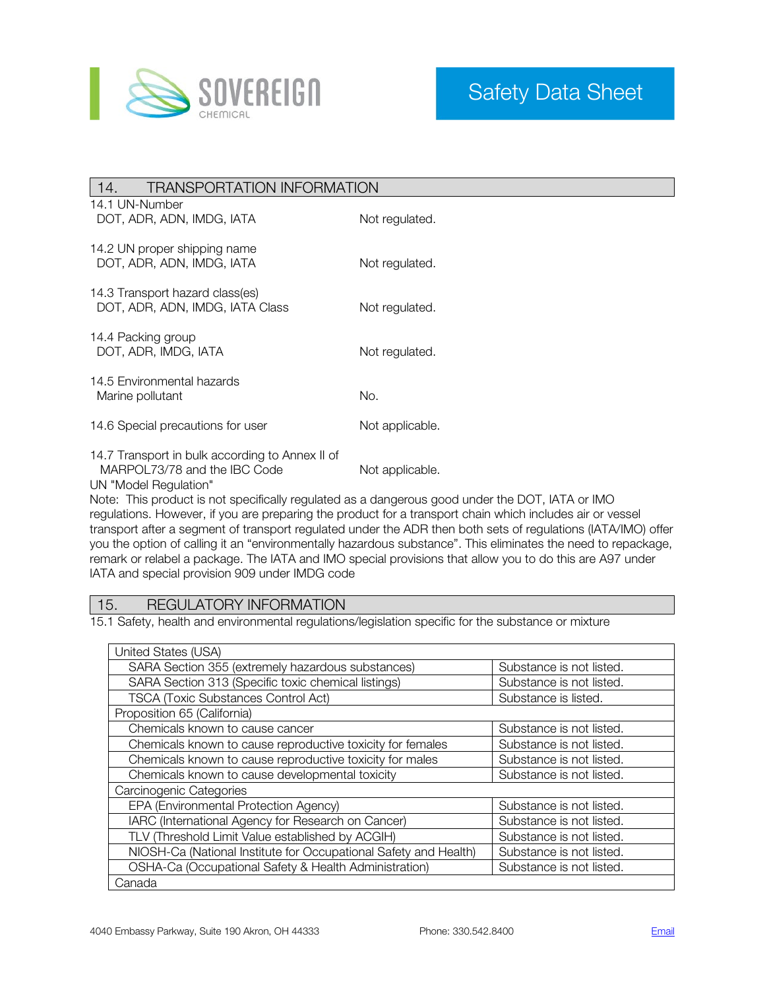

| <b>TRANSPORTATION INFORMATION</b><br>14.                                                                 |                 |  |
|----------------------------------------------------------------------------------------------------------|-----------------|--|
| 14.1 UN-Number<br>DOT, ADR, ADN, IMDG, IATA                                                              | Not regulated.  |  |
| 14.2 UN proper shipping name<br>DOT, ADR, ADN, IMDG, IATA                                                | Not regulated.  |  |
| 14.3 Transport hazard class(es)<br>DOT, ADR, ADN, IMDG, IATA Class                                       | Not regulated.  |  |
| 14.4 Packing group<br>DOT, ADR, IMDG, IATA                                                               | Not regulated.  |  |
| 14.5 Environmental hazards<br>Marine pollutant                                                           | No.             |  |
| 14.6 Special precautions for user                                                                        | Not applicable. |  |
| 14.7 Transport in bulk according to Annex II of<br>MARPOL73/78 and the IBC Code<br>UN "Model Regulation" | Not applicable. |  |

Note: This product is not specifically regulated as a dangerous good under the DOT, IATA or IMO regulations. However, if you are preparing the product for a transport chain which includes air or vessel transport after a segment of transport regulated under the ADR then both sets of regulations (IATA/IMO) offer you the option of calling it an "environmentally hazardous substance". This eliminates the need to repackage, remark or relabel a package. The IATA and IMO special provisions that allow you to do this are A97 under IATA and special provision 909 under IMDG code

## 15. REGULATORY INFORMATION

15.1 Safety, health and environmental regulations/legislation specific for the substance or mixture

| United States (USA)                                              |                          |
|------------------------------------------------------------------|--------------------------|
| SARA Section 355 (extremely hazardous substances)                | Substance is not listed. |
| SARA Section 313 (Specific toxic chemical listings)              | Substance is not listed. |
| <b>TSCA (Toxic Substances Control Act)</b>                       | Substance is listed.     |
| Proposition 65 (California)                                      |                          |
| Chemicals known to cause cancer                                  | Substance is not listed. |
| Chemicals known to cause reproductive toxicity for females       | Substance is not listed. |
| Chemicals known to cause reproductive toxicity for males         | Substance is not listed. |
| Chemicals known to cause developmental toxicity                  | Substance is not listed. |
| Carcinogenic Categories                                          |                          |
| EPA (Environmental Protection Agency)                            | Substance is not listed. |
| IARC (International Agency for Research on Cancer)               | Substance is not listed. |
| TLV (Threshold Limit Value established by ACGIH)                 | Substance is not listed. |
| NIOSH-Ca (National Institute for Occupational Safety and Health) | Substance is not listed. |
| OSHA-Ca (Occupational Safety & Health Administration)            | Substance is not listed. |
| Canada                                                           |                          |